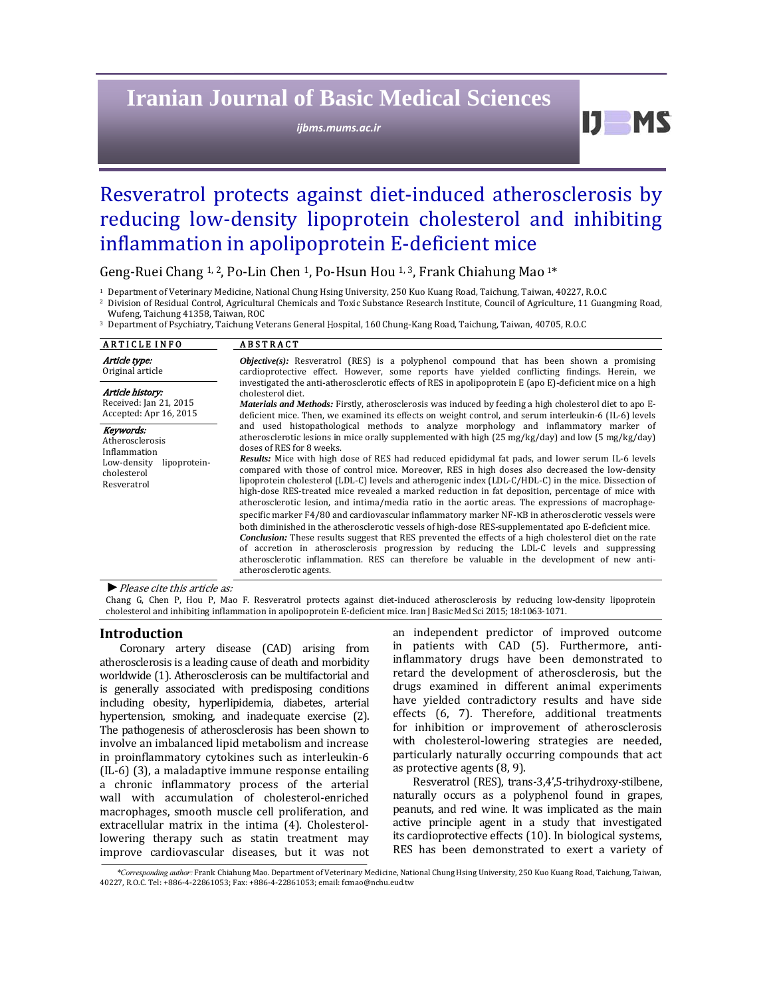# **Iranian Journal of Basic Medical Sciences**

*ijbms.mums.ac.ir*

# $IJ$  MS

# Resveratrol protects against diet-induced atherosclerosis by reducing low-density lipoprotein cholesterol and inhibiting inflammation in apolipoprotein E-deficient mice

Geng-Ruei Chang <sup>1, 2</sup>, Po-Lin Chen <sup>1</sup>, Po-Hsun Hou <sup>1, 3</sup>, Frank Chiahung Mao <sup>1\*</sup>

<sup>1</sup> Department of Veterinary Medicine, National Chung Hsing University, 250 Kuo Kuang Road, Taichung, Taiwan, 40227, R.O.C

<sup>2</sup> Division of Residual Control, Agricultural Chemicals and Toxic Substance Research Institute, Council of Agriculture, 11 Guangming Road, Wufeng, Taichung 41358, Taiwan, ROC

<sup>3</sup> Department of Psychiatry, Taichung Veterans General Hospital, 160 Chung-Kang Road, Taichung, Taiwan, 40705, R.O.C

| <b>ARTICLE INFO</b>                                                                                       | <b>ABSTRACT</b>                                                                                                                                                                                                                                                                                                                                                                                                                                                                                                                                                                                                                                                                                                                                                                                                                                                                                                                                                                                                                                                                                                                                                                                                                                                                                                                    |  |  |
|-----------------------------------------------------------------------------------------------------------|------------------------------------------------------------------------------------------------------------------------------------------------------------------------------------------------------------------------------------------------------------------------------------------------------------------------------------------------------------------------------------------------------------------------------------------------------------------------------------------------------------------------------------------------------------------------------------------------------------------------------------------------------------------------------------------------------------------------------------------------------------------------------------------------------------------------------------------------------------------------------------------------------------------------------------------------------------------------------------------------------------------------------------------------------------------------------------------------------------------------------------------------------------------------------------------------------------------------------------------------------------------------------------------------------------------------------------|--|--|
| Article type:<br>Original article                                                                         | <b><i>Objective(s)</i></b> : Resveratrol (RES) is a polyphenol compound that has been shown a promising<br>cardioprotective effect. However, some reports have yielded conflicting findings. Herein, we<br>investigated the anti-atherosclerotic effects of RES in apolipoprotein E (apo E)-deficient mice on a high<br>cholesterol diet.<br><i>Materials and Methods:</i> Firstly, atherosclerosis was induced by feeding a high cholesterol diet to apo E-<br>deficient mice. Then, we examined its effects on weight control, and serum interleukin-6 (IL-6) levels                                                                                                                                                                                                                                                                                                                                                                                                                                                                                                                                                                                                                                                                                                                                                             |  |  |
| Article history:<br>Received: Jan 21, 2015<br>Accepted: Apr 16, 2015                                      |                                                                                                                                                                                                                                                                                                                                                                                                                                                                                                                                                                                                                                                                                                                                                                                                                                                                                                                                                                                                                                                                                                                                                                                                                                                                                                                                    |  |  |
| Keywords:<br>Atherosclerosis<br>Inflammation<br>Low-density<br>lipoprotein-<br>cholesterol<br>Resveratrol | and used histopathological methods to analyze morphology and inflammatory marker of<br>atherosclerotic lesions in mice orally supplemented with high $(25 \text{ mg/kg/day})$ and low $(5 \text{ mg/kg/day})$<br>doses of RES for 8 weeks.<br><b>Results:</b> Mice with high dose of RES had reduced epididymal fat pads, and lower serum IL-6 levels<br>compared with those of control mice. Moreover, RES in high doses also decreased the low-density<br>lipoprotein cholesterol (LDL-C) levels and atherogenic index (LDL-C/HDL-C) in the mice. Dissection of<br>high-dose RES-treated mice revealed a marked reduction in fat deposition, percentage of mice with<br>atherosclerotic lesion, and intima/media ratio in the aortic areas. The expressions of macrophage-<br>specific marker F4/80 and cardiovascular inflammatory marker NF-KB in atherosclerotic vessels were<br>both diminished in the atherosclerotic vessels of high-dose RES-supplementated apo E-deficient mice.<br><b>Conclusion:</b> These results suggest that RES prevented the effects of a high cholesterol diet on the rate<br>of accretion in atherosclerosis progression by reducing the LDL-C levels and suppressing<br>atherosclerotic inflammation. RES can therefore be valuable in the development of new anti-<br>atherosclerotic agents. |  |  |

▶ *Please cite this article as:* 

Chang G, Chen P, Hou P, Mao F. Resveratrol protects against diet-induced atherosclerosis by reducing low-density lipoprotein cholesterol and inhibiting inflammation in apolipoprotein E-deficient mice. Iran J Basic Med Sci 2015; 18:1063-1071.

#### **Introduction**

Coronary artery disease (CAD) arising from atherosclerosis is a leading cause of death and morbidity worldwide (1). Atherosclerosis can be multifactorial and is generally associated with predisposing conditions including obesity, hyperlipidemia, diabetes, arterial hypertension, smoking, and inadequate exercise (2). The pathogenesis of atherosclerosis has been shown to involve an imbalanced lipid metabolism and increase in proinflammatory cytokines such as interleukin-6  $(IL-6)$   $(3)$ , a maladaptive immune response entailing a chronic inflammatory process of the arterial wall with accumulation of cholesterol-enriched macrophages, smooth muscle cell proliferation, and extracellular matrix in the intima (4). Cholesterollowering therapy such as statin treatment may improve cardiovascular diseases, but it was not

an independent predictor of improved outcome in patients with CAD (5). Furthermore, antiinflammatory drugs have been demonstrated to retard the development of atherosclerosis, but the drugs examined in different animal experiments have yielded contradictory results and have side effects (6, 7). Therefore, additional treatments for inhibition or improvement of atherosclerosis with cholesterol-lowering strategies are needed, particularly naturally occurring compounds that act as protective agents  $(8, 9)$ .

Resveratrol (RES), trans-3,4',5-trihydroxy-stilbene, naturally occurs as a polyphenol found in grapes, peanuts, and red wine. It was implicated as the main active principle agent in a study that investigated its cardioprotective effects (10). In biological systems, RES has been demonstrated to exert a variety of

*<sup>\*</sup>Corresponding author:* Frank Chiahung Mao. Department of Veterinary Medicine, National Chung Hsing University, 250 Kuo Kuang Road, Taichung, Taiwan, 40227, R.O.C. Tel: +886-4-22861053; Fax: +886-4-22861053; email: fcmao@nchu.eud.tw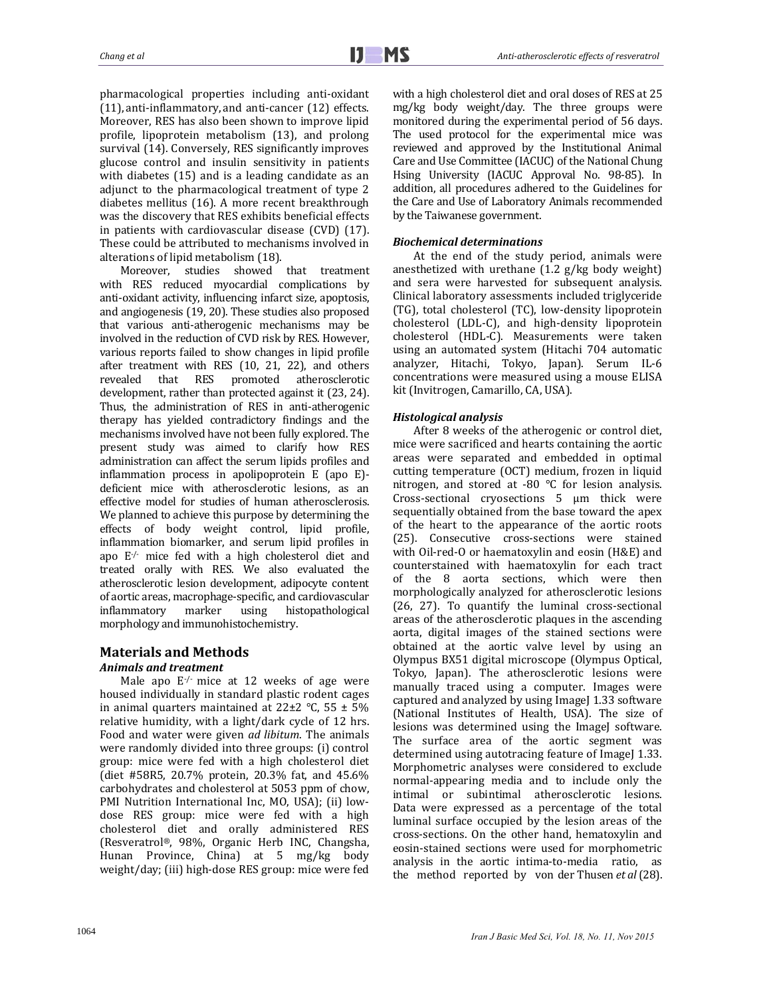pharmacological properties including anti-oxidant  $(11)$ , anti-inflammatory, and anti-cancer  $(12)$  effects. Moreover, RES has also been shown to improve lipid profile, lipoprotein metabolism (13), and prolong survival (14). Conversely, RES significantly improves glucose control and insulin sensitivity in patients with diabetes  $(15)$  and is a leading candidate as an adjunct to the pharmacological treatment of type 2 diabetes mellitus (16). A more recent breakthrough was the discovery that RES exhibits beneficial effects in patients with cardiovascular disease  $(CVD)$   $(17)$ . These could be attributed to mechanisms involved in alterations of lipid metabolism (18).

Moreover, studies showed that treatment with RES reduced myocardial complications by anti-oxidant activity, influencing infarct size, apoptosis, and angiogenesis (19, 20). These studies also proposed that various anti-atherogenic mechanisms may be involved in the reduction of CVD risk by RES. However, various reports failed to show changes in lipid profile after treatment with RES  $(10, 21, 22)$ , and others<br>revealed that RES promoted atherosclerotic revealed that RES promoted atherosclerotic development, rather than protected against it (23, 24). Thus, the administration of RES in anti-atherogenic therapy has yielded contradictory findings and the mechanisms involved have not been fully explored. The present study was aimed to clarify how RES administration can affect the serum lipids profiles and inflammation process in apolipoprotein  $E$  (apo  $E$ )deficient mice with atherosclerotic lesions, as an effective model for studies of human atherosclerosis. We planned to achieve this purpose by determining the effects of body weight control, lipid profile, inflammation biomarker, and serum lipid profiles in apo  $E^{\prime}$  mice fed with a high cholesterol diet and treated orally with RES. We also evaluated the atherosclerotic lesion development, adipocyte content of aortic areas, macrophage-specific, and cardiovascular inflammatory marker using histopathological morphology and immunohistochemistry.

# **Materials and Methods**

# *Animals and treatment*

Male apo  $E^{-/-}$  mice at 12 weeks of age were housed individually in standard plastic rodent cages in animal quarters maintained at  $22\pm2$  °C, 55  $\pm$  5% relative humidity, with a light/dark cycle of  $12$  hrs. Food and water were given *ad libitum*. The animals were randomly divided into three groups: (i) control group: mice were fed with a high cholesterol diet (diet #58R5, 20.7% protein, 20.3% fat, and 45.6% carbohydrates and cholesterol at 5053 ppm of chow, PMI Nutrition International Inc, MO, USA); (ii) lowdose RES group: mice were fed with a high cholesterol diet and orally administered RES (Resveratrol®, 98%, Organic Herb INC, Changsha, Hunan Province, China) at 5 mg/kg body weight/day; (iii) high-dose RES group: mice were fed with a high cholesterol diet and oral doses of RES at 25 mg/kg body weight/day. The three groups were monitored during the experimental period of 56 days. The used protocol for the experimental mice was reviewed and approved by the Institutional Animal Care and Use Committee (IACUC) of the National Chung Hsing University (IACUC Approval No. 98-85). In addition, all procedures adhered to the Guidelines for the Care and Use of Laboratory Animals recommended by the Taiwanese government.

# *Biochemical determinations*

At the end of the study period, animals were anesthetized with urethane  $(1.2 \text{ g/kg}$  body weight) and sera were harvested for subsequent analysis. Clinical laboratory assessments included triglyceride (TG), total cholesterol (TC), low-density lipoprotein cholesterol (LDL-C), and high-density lipoprotein cholesterol (HDL-C). Measurements were taken using an automated system (Hitachi 704 automatic analyzer, Hitachi, Tokyo, Japan). Serum IL-6 concentrations were measured using a mouse ELISA kit (Invitrogen, Camarillo, CA, USA).

## *Histological analysis*

After 8 weeks of the atherogenic or control diet, mice were sacrificed and hearts containing the aortic areas were separated and embedded in optimal cutting temperature (OCT) medium, frozen in liquid nitrogen, and stored at  $-80$  °C for lesion analysis. Cross-sectional cryosections  $5 \mu m$  thick were sequentially obtained from the base toward the apex of the heart to the appearance of the aortic roots (25). Consecutive cross-sections were stained with Oil-red-O or haematoxylin and eosin (H&E) and counterstained with haematoxylin for each tract of the 8 aorta sections, which were then morphologically analyzed for atherosclerotic lesions (26, 27). To quantify the luminal cross-sectional areas of the atherosclerotic plaques in the ascending aorta, digital images of the stained sections were obtained at the aortic valve level by using an Olympus BX51 digital microscope (Olympus Optical, Tokyo, Japan). The atherosclerotic lesions were manually traced using a computer. Images were captured and analyzed by using ImageJ 1.33 software (National Institutes of Health, USA). The size of lesions was determined using the ImageJ software. The surface area of the aortic segment was determined using autotracing feature of ImageJ 1.33. Morphometric analyses were considered to exclude normal-appearing media and to include only the intimal or subintimal atherosclerotic lesions. Data were expressed as a percentage of the total luminal surface occupied by the lesion areas of the cross‐sections. On the other hand, hematoxylin and eosin-stained sections were used for morphometric analysis in the aortic intima-to-media ratio, as the method reported by von der Thusen *et al* (28).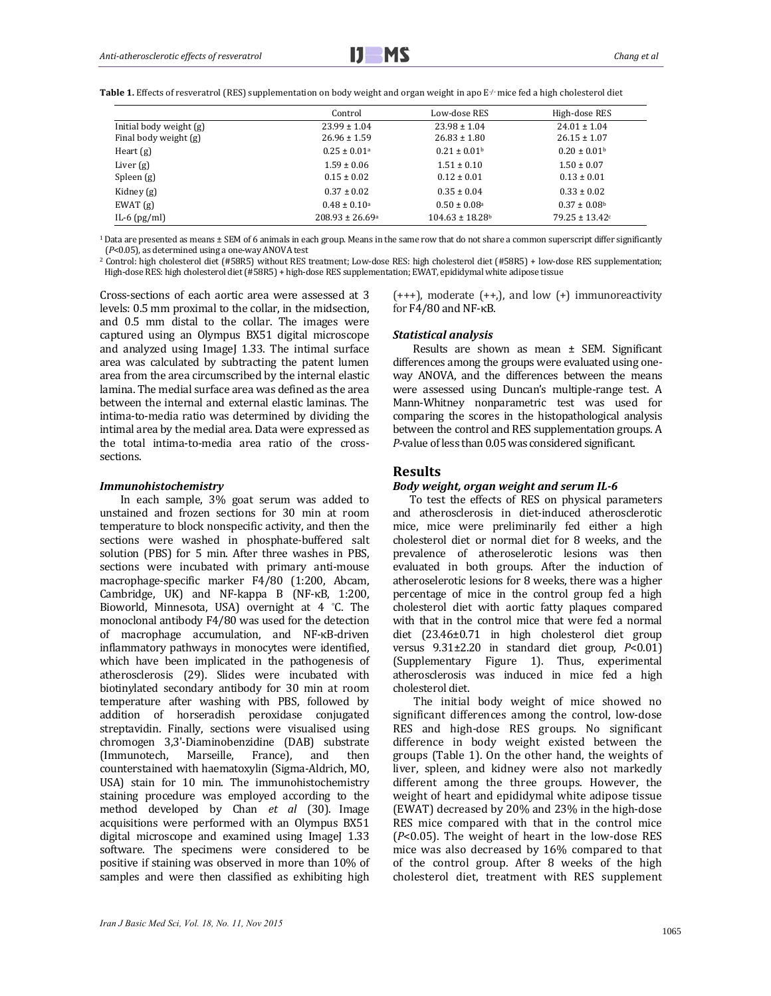**Table 1.** Effects of resveratrol (RES) supplementation on body weight and organ weight in apo E⋅/⋅ mice fed a high cholesterol diet

|                         | Control                      | Low-dose RES                    | High-dose RES                |
|-------------------------|------------------------------|---------------------------------|------------------------------|
| Initial body weight (g) | $23.99 \pm 1.04$             | $23.98 \pm 1.04$                | $24.01 \pm 1.04$             |
| Final body weight (g)   | $26.96 \pm 1.59$             | $26.83 \pm 1.80$                | $26.15 \pm 1.07$             |
| Heart $(g)$             | $0.25 \pm 0.01$ <sup>a</sup> | $0.21 \pm 0.01$ <sup>b</sup>    | $0.20 \pm 0.01$ <sup>b</sup> |
| Liver $(g)$             | $1.59 \pm 0.06$              | $1.51 \pm 0.10$                 | $1.50 \pm 0.07$              |
| Spleen $(g)$            | $0.15 \pm 0.02$              | $0.12 \pm 0.01$                 | $0.13 \pm 0.01$              |
| Kidney (g)              | $0.37 \pm 0.02$              | $0.35 \pm 0.04$                 | $0.33 \pm 0.02$              |
| EWAT(g)                 | $0.48 \pm 0.10^{\circ}$      | $0.50 \pm 0.08$ <sup>a</sup>    | $0.37 \pm 0.08$ <sup>b</sup> |
| IL-6 $(pg/ml)$          | $208.93 \pm 26.69^{\circ}$   | $104.63 \pm 18.28$ <sup>b</sup> | $79.25 \pm 13.42$ c          |

<sup>1</sup> Data are presented as means  $\pm$  SEM of 6 animals in each group. Means in the same row that do not share a common superscript differ significantly (P<0.05), as determined using a one-way ANOVA test

<sup>2</sup> Control: high cholesterol diet (#58R5) without RES treatment; Low-dose RES: high cholesterol diet (#58R5) + low-dose RES supplementation; High-dose RES: high cholesterol diet (#58R5) + high-dose RES supplementation; EWAT, epididymal white adipose tissue

Cross-sections of each aortic area were assessed at 3 levels:  $0.5$  mm proximal to the collar, in the midsection, and 0.5 mm distal to the collar. The images were captured using an Olympus BX51 digital microscope and analyzed using ImageJ 1.33. The intimal surface area was calculated by subtracting the patent lumen area from the area circumscribed by the internal elastic lamina. The medial surface area was defined as the area between the internal and external elastic laminas. The intima-to-media ratio was determined by dividing the intimal area by the medial area. Data were expressed as the total intima-to-media area ratio of the crosssections. 

#### *Immunohistochemistry*

In each sample, 3% goat serum was added to unstained and frozen sections for 30 min at room temperature to block nonspecific activity, and then the sections were washed in phosphate-buffered salt solution (PBS) for 5 min. After three washes in PBS, sections were incubated with primary anti-mouse macrophage-specific marker F4/80 (1:200, Abcam, Cambridge, UK) and NF-kappa B (NF- $\kappa$ B, 1:200, Bioworld, Minnesota, USA) overnight at 4 °C. The monoclonal antibody F4/80 was used for the detection of macrophage accumulation, and NF-κB-driven inflammatory pathways in monocytes were identified, which have been implicated in the pathogenesis of atherosclerosis (29). Slides were incubated with biotinylated secondary antibody for 30 min at room temperature after washing with PBS, followed by addition of horseradish peroxidase conjugated streptavidin. Finally, sections were visualised using chromogen 3,3'‐Diaminobenzidine (DAB) substrate (Immunotech, Marseille, France), and then counterstained with haematoxylin (Sigma-Aldrich, MO, USA) stain for 10 min. The immunohistochemistry staining procedure was employed according to the method developed by Chan *et al* (30). Image acquisitions were performed with an Olympus BX51 digital microscope and examined using ImageJ 1.33 software. The specimens were considered to be positive if staining was observed in more than 10% of samples and were then classified as exhibiting high

 $(+++)$ , moderate  $(+)$ , and low  $(+)$  immunoreactivity for  $F4/80$  and NF- $\kappa$ B.

#### *Statistical analysis*

Results are shown as mean  $\pm$  SEM. Significant differences among the groups were evaluated using oneway ANOVA, and the differences between the means were assessed using Duncan's multiple-range test. A Mann-Whitney nonparametric test was used for comparing the scores in the histopathological analysis between the control and RES supplementation groups. A *P*-value of less than 0.05 was considered significant.

# **Results**

#### *Body weight, organ weight and serum IL‐6*

To test the effects of RES on physical parameters and atherosclerosis in diet-induced atherosclerotic mice, mice were preliminarily fed either a high cholesterol diet or normal diet for 8 weeks, and the prevalence of atheroselerotic lesions was then evaluated in both groups. After the induction of atheroselerotic lesions for 8 weeks, there was a higher percentage of mice in the control group fed a high cholesterol diet with aortic fatty plaques compared with that in the control mice that were fed a normal diet (23.46±0.71 in high cholesterol diet group versus 9.31±2.20 in standard diet group, *P*<0.01) (Supplementary Figure 1). Thus, experimental atherosclerosis was induced in mice fed a high cholesterol diet. 

The initial body weight of mice showed no significant differences among the control, low-dose RES and high-dose RES groups. No significant difference in body weight existed between the groups (Table 1). On the other hand, the weights of liver, spleen, and kidney were also not markedly different among the three groups. However, the weight of heart and epididymal white adipose tissue (EWAT) decreased by 20% and 23% in the high-dose RES mice compared with that in the control mice  $(P<0.05)$ . The weight of heart in the low-dose RES mice was also decreased by  $16\%$  compared to that of the control group. After 8 weeks of the high cholesterol diet, treatment with RES supplement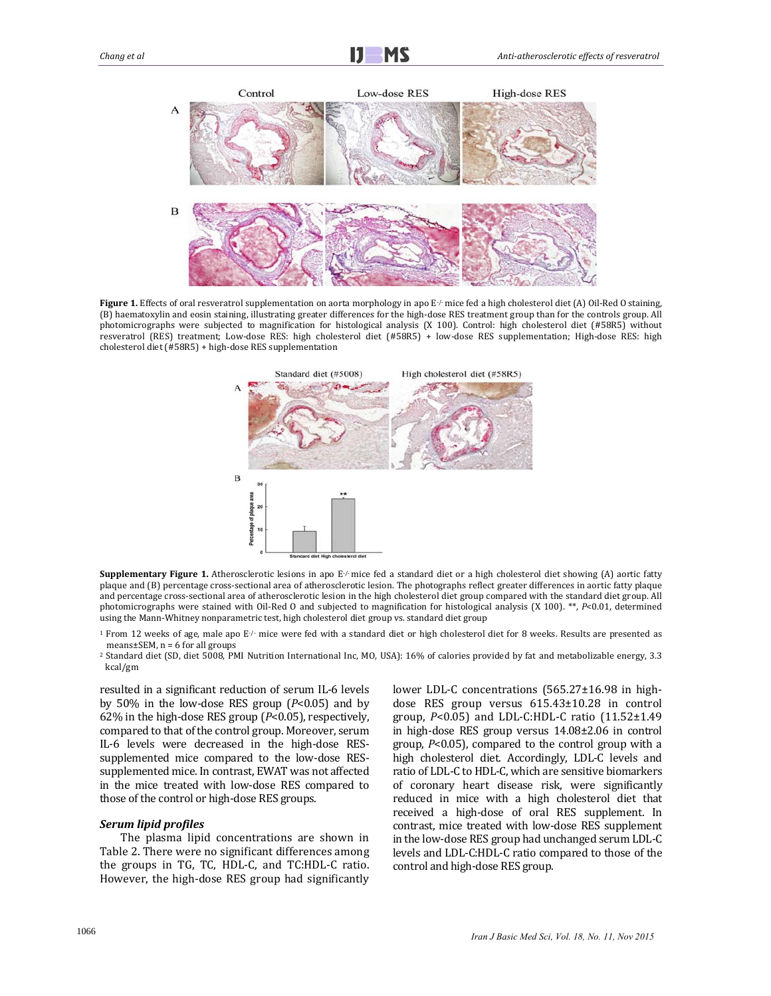

**Figure 1.** Effects of oral resveratrol supplementation on aorta morphology in apo E√ mice fed a high cholesterol diet (A) Oil-Red O staining, (B) haematoxylin and eosin staining, illustrating greater differences for the high-dose RES treatment group than for the controls group. All photomicrographs were subjected to magnification for histological analysis (X 100). Control: high cholesterol diet (#58R5) without resveratrol (RES) treatment; Low-dose RES: high cholesterol diet (#58R5) + low-dose RES supplementation; High-dose RES: high cholesterol diet (#58R5) + high-dose RES supplementation



**Supplementary Figure 1.** Atherosclerotic lesions in apo  $E/m$ ice fed a standard diet or a high cholesterol diet showing (A) aortic fatty plaque and (B) percentage cross-sectional area of atherosclerotic lesion. The photographs reflect greater differences in aortic fatty plaque and percentage cross-sectional area of atherosclerotic lesion in the high cholesterol diet group compared with the standard diet group. All photomicrographs were stained with Oil-Red O and subjected to magnification for histological analysis (X 100). \*\*, *P*<0.01, determined using the Mann-Whitney nonparametric test, high cholesterol diet group vs. standard diet group

<sup>1</sup> From 12 weeks of age, male apo  $E/-$  mice were fed with a standard diet or high cholesterol diet for 8 weeks. Results are presented as means $\pm$ SEM, n = 6 for all groups

 $^2$  Standard diet (SD, diet 5008, PMI Nutrition International Inc, MO, USA): 16% of calories provided by fat and metabolizable energy, 3.3 kcal/gm 

resulted in a significant reduction of serum IL-6 levels by  $50\%$  in the low-dose RES group  $(P<0.05)$  and by 62% in the high-dose RES group  $(P<0.05)$ , respectively, compared to that of the control group. Moreover, serum IL-6 levels were decreased in the high-dose RESsupplemented mice compared to the low-dose RESsupplemented mice. In contrast, EWAT was not affected in the mice treated with low-dose RES compared to those of the control or high-dose RES groups.

#### *Serum lipid profiles*

The plasma lipid concentrations are shown in Table 2. There were no significant differences among the groups in TG, TC, HDL-C, and TC:HDL-C ratio. However, the high-dose RES group had significantly lower LDL-C concentrations  $(565.27 \pm 16.98)$  in highdose RES group versus 615.43±10.28 in control group,  $P < 0.05$ ) and LDL-C:HDL-C ratio  $(11.52 \pm 1.49)$ in high-dose RES group versus  $14.08\pm2.06$  in control group,  $P<0.05$ ), compared to the control group with a high cholesterol diet. Accordingly, LDL-C levels and ratio of LDL-C to HDL-C, which are sensitive biomarkers of coronary heart disease risk, were significantly reduced in mice with a high cholesterol diet that received a high-dose of oral RES supplement. In contrast, mice treated with low-dose RES supplement in the low-dose RES group had unchanged serum LDL-C levels and LDL-C:HDL-C ratio compared to those of the control and high-dose RES group.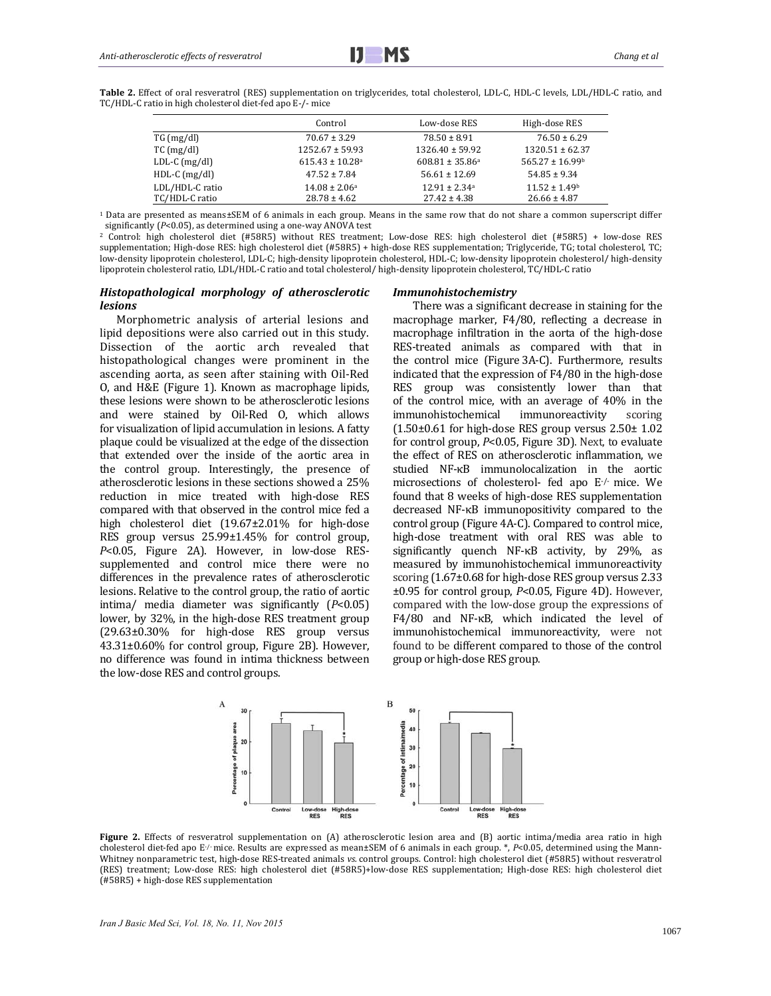Table 2. Effect of oral resveratrol (RES) supplementation on triglycerides, total cholesterol, LDL-C, HDL-C levels, LDL/HDL-C ratio, and TC/HDL-C ratio in high cholesterol diet-fed apo E-/- mice

|                 | Control                         | Low-dose RES                  | High-dose RES                 |
|-----------------|---------------------------------|-------------------------------|-------------------------------|
| TG (mg/dl)      | $70.67 \pm 3.29$                | $78.50 \pm 8.91$              | $76.50 \pm 6.29$              |
| $TC$ (mg/dl)    | $1252.67 \pm 59.93$             | $1326.40 \pm 59.92$           | $1320.51 \pm 62.37$           |
| $LDL-C (mg/dl)$ | $615.43 \pm 10.28$ <sup>a</sup> | $608.81 \pm 35.86^{\circ}$    | $565.27 \pm 16.99$            |
| $HDL-C$ (mg/dl) | $47.52 \pm 7.84$                | $56.61 \pm 12.69$             | $54.85 \pm 9.34$              |
| LDL/HDL-C ratio | $14.08 \pm 2.06^{\circ}$        | $12.91 \pm 2.34$ <sup>a</sup> | $11.52 \pm 1.49$ <sup>b</sup> |
| TC/HDL-C ratio  | $28.78 \pm 4.62$                | $27.42 \pm 4.38$              | $26.66 \pm 4.87$              |

<sup>1</sup> Data are presented as means±SEM of 6 animals in each group. Means in the same row that do not share a common superscript differ significantly  $(P<0.05)$ , as determined using a one-way ANOVA test

<sup>2</sup> Control: high cholesterol diet (#58R5) without RES treatment; Low-dose RES: high cholesterol diet (#58R5) + low-dose RES supplementation; High-dose RES: high cholesterol diet (#58R5) + high-dose RES supplementation; Triglyceride, TG; total cholesterol, TC; low‐density lipoprotein cholesterol, LDL‐C; high‐density lipoprotein cholesterol, HDL‐C; low‐density lipoprotein cholesterol/ high‐density lipoprotein cholesterol ratio, LDL/HDL-C ratio and total cholesterol/ high-density lipoprotein cholesterol, TC/HDL-C ratio

#### *Histopathological morphology of atherosclerotic lesions*

Morphometric analysis of arterial lesions and lipid depositions were also carried out in this study. Dissection of the aortic arch revealed that histopathological changes were prominent in the ascending aorta, as seen after staining with Oil-Red O, and H&E (Figure 1). Known as macrophage lipids, these lesions were shown to be atherosclerotic lesions and were stained by Oil-Red O, which allows for visualization of lipid accumulation in lesions. A fatty plaque could be visualized at the edge of the dissection that extended over the inside of the aortic area in the control group. Interestingly, the presence of atherosclerotic lesions in these sections showed a 25% reduction in mice treated with high-dose RES compared with that observed in the control mice fed a high cholesterol diet (19.67±2.01% for high-dose RES group versus  $25.99\pm1.45\%$  for control group, *P*<0.05, Figure 2A). However, in low-dose RESsupplemented and control mice there were no differences in the prevalence rates of atherosclerotic lesions. Relative to the control group, the ratio of aortic intima/ media diameter was significantly (*P*<0.05) lower, by 32%, in the high-dose RES treatment group (29.63±0.30% for high‐dose RES group versus 43.31±0.60% for control group, Figure 2B). However, no difference was found in intima thickness between the low-dose RES and control groups.

#### *Immunohistochemistry*

There was a significant decrease in staining for the macrophage marker, F4/80, reflecting a decrease in macrophage infiltration in the aorta of the high-dose RES-treated animals as compared with that in the control mice (Figure 3A-C). Furthermore, results indicated that the expression of  $F4/80$  in the high-dose RES group was consistently lower than that of the control mice, with an average of  $40\%$  in the immunohistochemical immunoreactivity scoring  $(1.50\pm0.61$  for high-dose RES group versus  $2.50\pm1.02$ for control group,  $P$ <0.05, Figure 3D). Next, to evaluate the effect of RES on atherosclerotic inflammation, we studied NF-κB immunolocalization in the aortic microsections of cholesterol- fed apo E-/- mice. We found that 8 weeks of high-dose RES supplementation decreased NF-κB immunopositivity compared to the control group (Figure 4A-C). Compared to control mice, high-dose treatment with oral RES was able to significantly quench  $NF$ - $\kappa$ B activity, by 29%, as measured by immunohistochemical immunoreactivity scoring  $(1.67\pm0.68$  for high-dose RES group versus 2.33 ±0.95 for control group, *P*<0.05, Figure 4D). However, compared with the low-dose group the expressions of F4/80 and NF-κB, which indicated the level of immunohistochemical immunoreactivity, were not found to be different compared to those of the control group or high-dose RES group.



**Figure** 2. Effects of resveratrol supplementation on (A) atherosclerotic lesion area and (B) aortic intima/media area ratio in high cholesterol diet-fed apo E<sup>-/</sup>·mice. Results are expressed as mean±SEM of 6 animals in each group. \*, *P*<0.05, determined using the Mann-Whitney nonparametric test, high-dose RES-treated animals *vs.* control groups. Control: high cholesterol diet (#58R5) without resveratrol (RES) treatment; Low-dose RES: high cholesterol diet (#58R5)+low-dose RES supplementation; High-dose RES: high cholesterol diet (#58R5) + high‐dose RES supplementation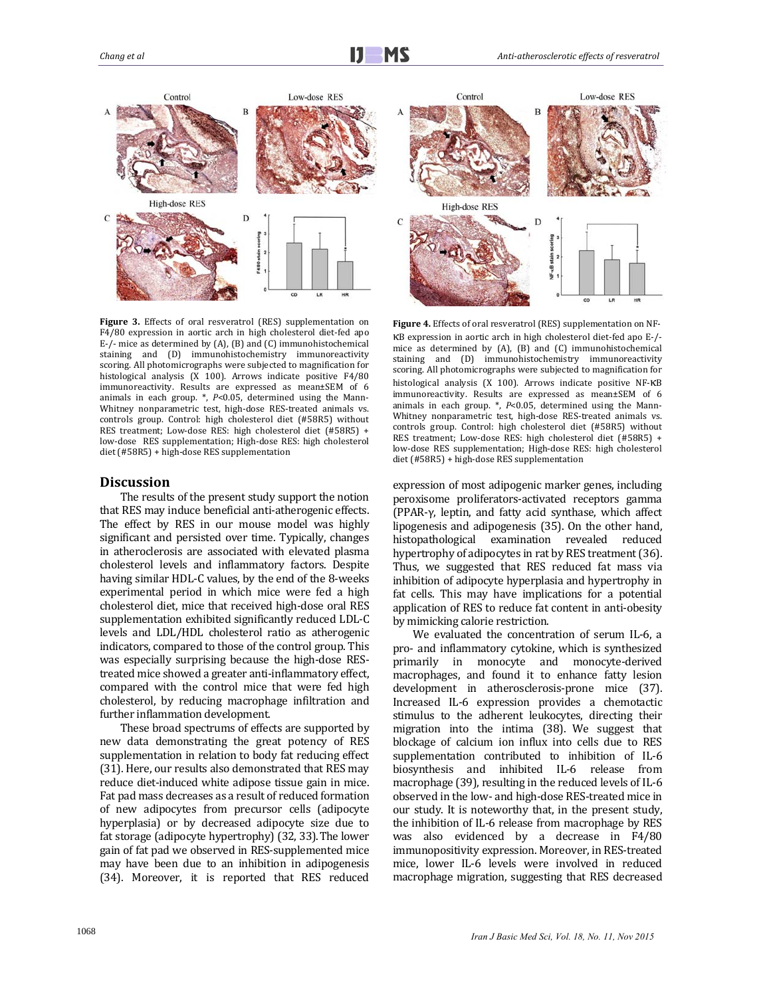

Figure 3. Effects of oral resveratrol (RES) supplementation on F4/80 expression in aortic arch in high cholesterol diet-fed apo E-/- mice as determined by (A), (B) and (C) immunohistochemical staining and (D) immunohistochemistry immunoreactivity scoring. All photomicrographs were subjected to magnification for histological analysis  $(X 100)$ . Arrows indicate positive  $F4/80$ immunoreactivity. Results are expressed as mean±SEM of 6 animals in each group.  $*$ ,  $P<0.05$ , determined using the Mann-Whitney nonparametric test, high-dose RES-treated animals vs. controls group. Control: high cholesterol diet (#58R5) without RES treatment; Low-dose RES: high cholesterol diet (#58R5) + low-dose RES supplementation; High-dose RES: high cholesterol diet (#58R5) + high-dose RES supplementation

#### **Discussion**

The results of the present study support the notion that RES may induce beneficial anti-atherogenic effects. The effect by RES in our mouse model was highly significant and persisted over time. Typically, changes in atheroclerosis are associated with elevated plasma cholesterol levels and inflammatory factors. Despite having similar HDL-C values, by the end of the 8-weeks experimental period in which mice were fed a high cholesterol diet, mice that received high-dose oral RES supplementation exhibited significantly reduced LDL-C levels and LDL/HDL cholesterol ratio as atherogenic indicators, compared to those of the control group. This was especially surprising because the high-dose REStreated mice showed a greater anti-inflammatory effect, compared with the control mice that were fed high cholesterol, by reducing macrophage infiltration and further inflammation development.

These broad spectrums of effects are supported by new data demonstrating the great potency of RES supplementation in relation to body fat reducing effect (31). Here, our results also demonstrated that RES may reduce diet-induced white adipose tissue gain in mice. Fat pad mass decreases as a result of reduced formation of new adipocytes from precursor cells (adipocyte hyperplasia) or by decreased adipocyte size due to fat storage (adipocyte hypertrophy) (32, 33). The lower gain of fat pad we observed in RES-supplemented mice may have been due to an inhibition in adipogenesis (34). Moreover, it is reported that RES reduced 



Figure 4. Effects of oral resveratrol (RES) supplementation on NFκB expression in aortic arch in high cholesterol diet‐fed apo E‐/‐ mice as determined by  $(A)$ ,  $(B)$  and  $(C)$  immunohistochemical staining and (D) immunohistochemistry immunoreactivity scoring. All photomicrographs were subjected to magnification for histological analysis (X 100). Arrows indicate positive NF-KB immunoreactivity. Results are expressed as mean±SEM of 6 animals in each group.  $*$ ,  $P<0.05$ , determined using the Mann-Whitney nonparametric test, high-dose RES-treated animals vs. controls group. Control: high cholesterol diet (#58R5) without RES treatment; Low-dose RES: high cholesterol diet (#58R5) + low-dose RES supplementation; High-dose RES: high cholesterol diet (#58R5) + high-dose RES supplementation

expression of most adipogenic marker genes, including peroxisome proliferators-activated receptors gamma (PPAR‐γ, leptin, and fatty acid synthase, which affect lipogenesis and adipogenesis (35). On the other hand, histopathological examination revealed reduced hypertrophy of adipocytes in rat by RES treatment (36). Thus, we suggested that RES reduced fat mass via inhibition of adipocyte hyperplasia and hypertrophy in fat cells. This may have implications for a potential application of RES to reduce fat content in anti-obesity by mimicking calorie restriction.

We evaluated the concentration of serum IL-6, a pro- and inflammatory cytokine, which is synthesized primarily in monocyte and monocyte-derived macrophages, and found it to enhance fatty lesion development in atherosclerosis-prone mice (37). Increased IL-6 expression provides a chemotactic stimulus to the adherent leukocytes, directing their migration into the intima  $(38)$ . We suggest that blockage of calcium ion influx into cells due to RES supplementation contributed to inhibition of IL-6 biosynthesis and inhibited IL‐6 release from macrophage (39), resulting in the reduced levels of IL-6 observed in the low- and high-dose RES-treated mice in our study. It is noteworthy that, in the present study, the inhibition of IL-6 release from macrophage by RES was also evidenced by a decrease in F4/80 immunopositivity expression. Moreover, in RES-treated mice, lower IL-6 levels were involved in reduced macrophage migration, suggesting that RES decreased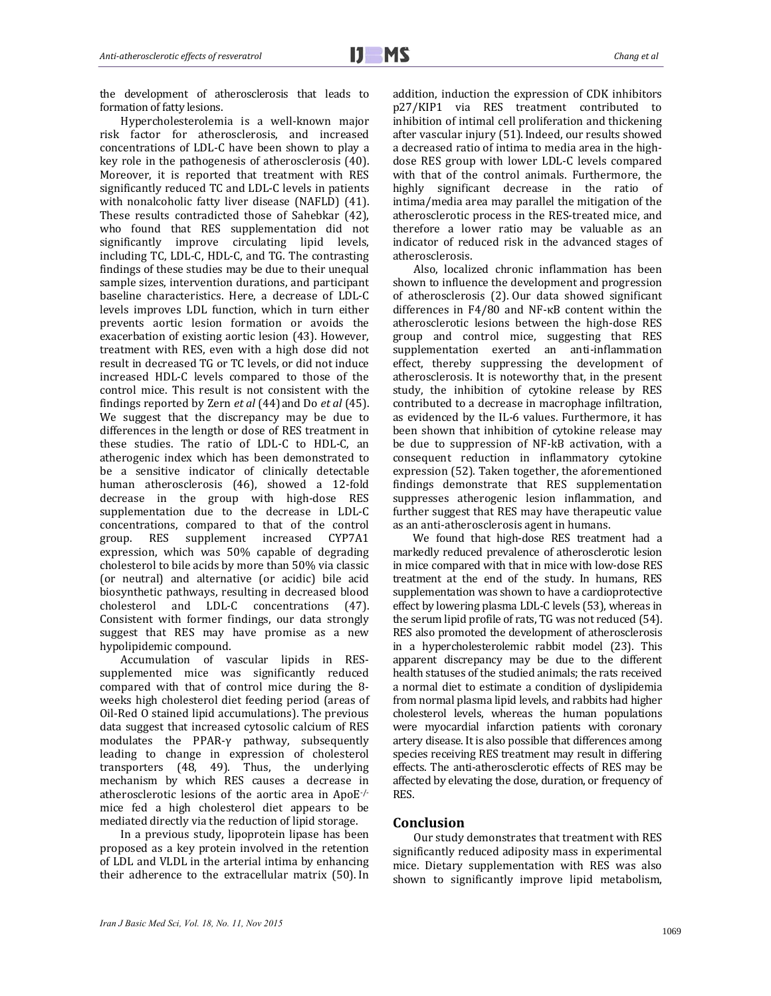the development of atherosclerosis that leads to formation of fatty lesions.

Hypercholesterolemia is a well-known major risk factor for atherosclerosis, and increased concentrations of LDL-C have been shown to play a key role in the pathogenesis of atherosclerosis (40). Moreover, it is reported that treatment with RES significantly reduced TC and LDL-C levels in patients with nonalcoholic fatty liver disease (NAFLD) (41). These results contradicted those of Sahebkar (42), who found that RES supplementation did not significantly improve circulating lipid levels, including TC, LDL-C, HDL-C, and TG. The contrasting findings of these studies may be due to their unequal sample sizes, intervention durations, and participant baseline characteristics. Here, a decrease of LDL-C levels improves LDL function, which in turn either prevents aortic lesion formation or avoids the exacerbation of existing aortic lesion (43). However, treatment with RES, even with a high dose did not result in decreased TG or TC levels, or did not induce increased HDL-C levels compared to those of the control mice. This result is not consistent with the findings reported by Zern *et al* (44) and Do *et al* (45). We suggest that the discrepancy may be due to differences in the length or dose of RES treatment in these studies. The ratio of LDL-C to HDL-C, an atherogenic index which has been demonstrated to be a sensitive indicator of clinically detectable human atherosclerosis (46), showed a 12-fold decrease in the group with high-dose RES supplementation due to the decrease in LDL-C concentrations, compared to that of the control group. RES supplement increased CYP7A1 expression, which was 50% capable of degrading cholesterol to bile acids by more than 50% via classic (or neutral) and alternative (or acidic) bile acid biosynthetic pathways, resulting in decreased blood cholesterol and LDL-C concentrations (47). Consistent with former findings, our data strongly suggest that RES may have promise as a new hypolipidemic compound.

Accumulation of vascular lipids in RESsupplemented mice was significantly reduced compared with that of control mice during the 8weeks high cholesterol diet feeding period (areas of Oil-Red O stained lipid accumulations). The previous data suggest that increased cytosolic calcium of RES modulates the PPAR-γ pathway, subsequently leading to change in expression of cholesterol transporters  $(48, 49)$ . Thus, the underlying mechanism by which RES causes a decrease in atherosclerotic lesions of the aortic area in ApoE $\cdot$ mice fed a high cholesterol diet appears to be mediated directly via the reduction of lipid storage.

In a previous study, lipoprotein lipase has been proposed as a key protein involved in the retention of LDL and VLDL in the arterial intima by enhancing their adherence to the extracellular matrix (50). In addition, induction the expression of CDK inhibitors p27/KIP1 via RES treatment contributed to inhibition of intimal cell proliferation and thickening after vascular injury (51). Indeed, our results showed a decreased ratio of intima to media area in the highdose RES group with lower LDL-C levels compared with that of the control animals. Furthermore, the highly significant decrease in the ratio of intima/media area may parallel the mitigation of the atherosclerotic process in the RES-treated mice, and therefore a lower ratio may be valuable as an indicator of reduced risk in the advanced stages of atherosclerosis. 

Also, localized chronic inflammation has been shown to influence the development and progression of atherosclerosis (2). Our data showed significant differences in  $F4/80$  and NF- $\kappa$ B content within the atherosclerotic lesions between the high-dose RES group and control mice, suggesting that RES supplementation exerted an anti-inflammation effect, thereby suppressing the development of atherosclerosis. It is noteworthy that, in the present study, the inhibition of cytokine release by RES contributed to a decrease in macrophage infiltration, as evidenced by the IL-6 values. Furthermore, it has been shown that inhibition of cytokine release may be due to suppression of NF-kB activation, with a consequent reduction in inflammatory cytokine expression (52). Taken together, the aforementioned findings demonstrate that RES supplementation suppresses atherogenic lesion inflammation, and further suggest that RES may have therapeutic value as an anti-atherosclerosis agent in humans.

We found that high-dose RES treatment had a markedly reduced prevalence of atherosclerotic lesion in mice compared with that in mice with low-dose RES treatment at the end of the study. In humans, RES supplementation was shown to have a cardioprotective effect by lowering plasma LDL-C levels (53), whereas in the serum lipid profile of rats, TG was not reduced (54). RES also promoted the development of atherosclerosis in a hypercholesterolemic rabbit model (23). This apparent discrepancy may be due to the different health statuses of the studied animals; the rats received a normal diet to estimate a condition of dyslipidemia from normal plasma lipid levels, and rabbits had higher cholesterol levels, whereas the human populations were myocardial infarction patients with coronary artery disease. It is also possible that differences among species receiving RES treatment may result in differing effects. The anti-atherosclerotic effects of RES may be affected by elevating the dose, duration, or frequency of RES. 

## **Conclusion**

Our study demonstrates that treatment with RES significantly reduced adiposity mass in experimental mice. Dietary supplementation with RES was also shown to significantly improve lipid metabolism,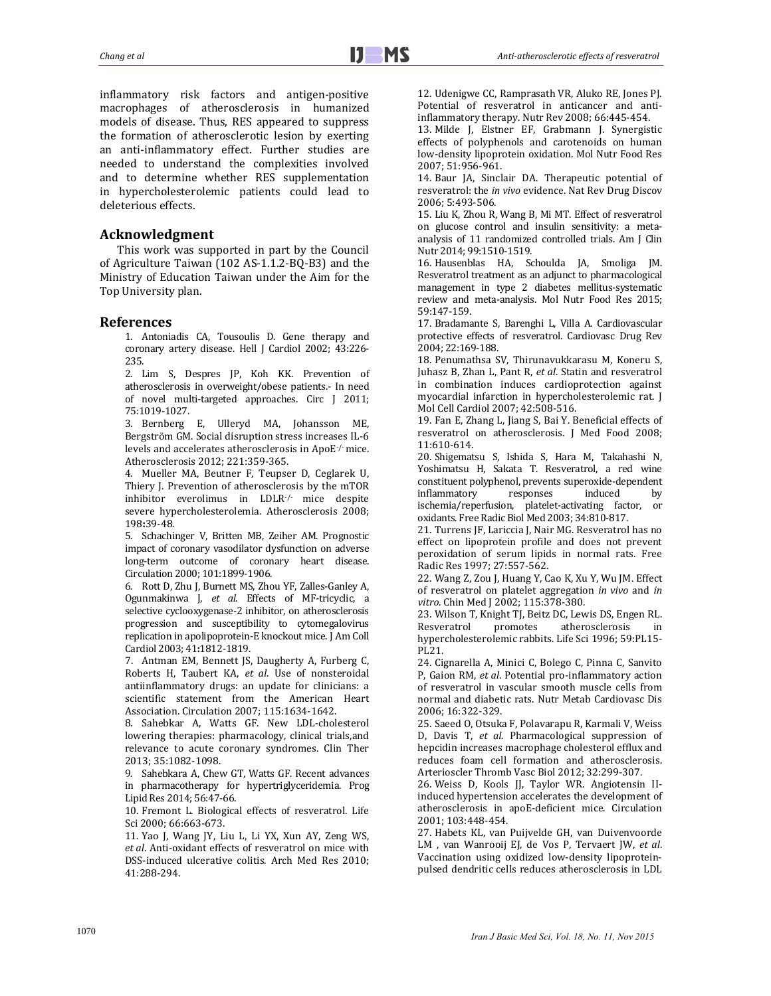inflammatory risk factors and antigen-positive macrophages of atherosclerosis in humanized models of disease. Thus, RES appeared to suppress the formation of atherosclerotic lesion by exerting an anti-inflammatory effect. Further studies are needed to understand the complexities involved and to determine whether RES supplementation in hypercholesterolemic patients could lead to deleterious effects.

# **Acknowledgment**

This work was supported in part by the Council of Agriculture Taiwan (102 AS-1.1.2-BQ-B3) and the Ministry of Education Taiwan under the Aim for the Top University plan.

# **References**

1. Antoniadis CA, Tousoulis D. Gene therapy and coronary artery disease. Hell J Cardiol 2002; 43:226-235. 

2. Lim S, Despres JP, Koh KK. Prevention of atherosclerosis in overweight/obese patients. In need of novel multi-targeted approaches. Circ J 2011; 75:1019‐1027. 

3. Bernberg E, Ulleryd MA, Johansson ME, Bergström GM. Social disruption stress increases IL-6 levels and accelerates atherosclerosis in ApoE-/-mice. Atherosclerosis 2012; 221:359-365.

4. Mueller MA, Beutner F, Teupser D, Ceglarek U, Thiery I. Prevention of atherosclerosis by the mTOR inhibitor everolimus in LDLR-/- mice despite severe hypercholesterolemia. Atherosclerosis 2008; 198**:**39‐48. 

5. Schachinger V, Britten MB, Zeiher AM. Prognostic impact of coronary vasodilator dysfunction on adverse long-term outcome of coronary heart disease. Circulation 2000; 101:1899-1906.

6. Rott D, Zhu J, Burnett MS, Zhou YF, Zalles-Ganley A, Ogunmakinwa J, et al. Effects of MF-tricyclic, a selective cyclooxygenase-2 inhibitor, on atherosclerosis progression and susceptibility to cytomegalovirus replication in apolipoprotein-E knockout mice. J Am Coll Cardiol 2003; 41**:**1812‐1819. 

7. Antman EM, Bennett JS, Daugherty A, Furberg C, Roberts H, Taubert KA, et al. Use of nonsteroidal antiinflammatory drugs: an update for clinicians: a scientific statement from the American Heart Association. Circulation 2007; 115:1634-1642.

8. Sahebkar A, Watts GF. New LDL-cholesterol lowering therapies: pharmacology, clinical trials, and relevance to acute coronary syndromes. Clin Ther 2013; 35:1082‐1098. 

9. Sahebkara A, Chew GT, Watts GF. Recent advances in pharmacotherapy for hypertriglyceridemia. Prog Lipid Res 2014; 56:47-66.

10. Fremont L. Biological effects of resveratrol. Life Sci 2000; 66:663-673.

11. Yao J, Wang JY, Liu L, Li YX, Xun AY, Zeng WS, et al. Anti-oxidant effects of resveratrol on mice with DSS-induced ulcerative colitis. Arch Med Res 2010: 41:288‐294. 

12. Udenigwe CC, Ramprasath VR, Aluko RE, Jones PJ. Potential of resveratrol in anticancer and antiinflammatory therapy. Nutr Rev 2008; 66:445-454.

13. Milde J, Elstner EF, Grabmann J. Synergistic effects of polyphenols and carotenoids on human low-density lipoprotein oxidation. Mol Nutr Food Res 2007; 51:956‐961. 

14. Baur JA, Sinclair DA. Therapeutic potential of resveratrol: the *in vivo* evidence. Nat Rev Drug Discov 2006; 5:493‐506. 

15. Liu K, Zhou R, Wang B, Mi MT. Effect of resveratrol on glucose control and insulin sensitivity: a metaanalysis of 11 randomized controlled trials. Am J Clin Nutr 2014; 99:1510-1519.

16. Hausenblas HA, Schoulda JA, Smoliga JM. Resveratrol treatment as an adjunct to pharmacological management in type 2 diabetes mellitus-systematic review and meta-analysis. Mol Nutr Food Res 2015; 59:147‐159. 

17. Bradamante S, Barenghi L, Villa A. Cardiovascular protective effects of resveratrol. Cardiovasc Drug Rev 2004; 22:169‐188. 

18. Penumathsa SV, Thirunavukkarasu M, Koneru S, Juhasz B, Zhan L, Pant R, *et al*. Statin and resveratrol in combination induces cardioprotection against myocardial infarction in hypercholesterolemic rat. J Mol Cell Cardiol 2007; 42:508-516.

19. Fan E, Zhang L, Jiang S, Bai Y. Beneficial effects of resveratrol on atherosclerosis. J Med Food 2008; 11:610‐614. 

20. Shigematsu S, Ishida S, Hara M, Takahashi N, Yoshimatsu H, Sakata T. Resveratrol, a red wine constituent polyphenol, prevents superoxide-dependent inflammatory responses induced by ischemia/reperfusion, platelet-activating factor, or oxidants. Free Radic Biol Med 2003; 34:810-817.

21. Turrens JF, Lariccia J, Nair MG. Resveratrol has no effect on lipoprotein profile and does not prevent peroxidation of serum lipids in normal rats. Free Radic Res 1997; 27:557-562.

22. Wang Z, Zou J, Huang Y, Cao K, Xu Y, Wu JM. Effect of resveratrol on platelet aggregation *in vivo* and *in* vitro. Chin Med J 2002; 115:378-380.

23. Wilson T, Knight TJ, Beitz DC, Lewis DS, Engen RL. Resveratrol promotes atherosclerosis in hypercholesterolemic rabbits. Life Sci 1996; 59:PL15-PL21. 

24. Cignarella A, Minici C, Bolego C, Pinna C, Sanvito P, Gaion RM, et al. Potential pro-inflammatory action of resveratrol in vascular smooth muscle cells from normal and diabetic rats. Nutr Metab Cardiovasc Dis 2006; 16:322‐329. 

25. Saeed O, Otsuka F, Polavarapu R, Karmali V, Weiss D, Davis T, *et al.* Pharmacological suppression of hepcidin increases macrophage cholesterol efflux and reduces foam cell formation and atherosclerosis. Arterioscler Thromb Vasc Biol 2012; 32:299-307.

26. Weiss D, Kools JJ, Taylor WR. Angiotensin IIinduced hypertension accelerates the development of atherosclerosis in apoE-deficient mice. Circulation 2001; 103:448‐454. 

27. Habets KL, van Puijvelde GH, van Duivenvoorde LM , van Wanrooij EJ, de Vos P, Tervaert JW, et al. Vaccination using oxidized low-density lipoproteinpulsed dendritic cells reduces atherosclerosis in LDL